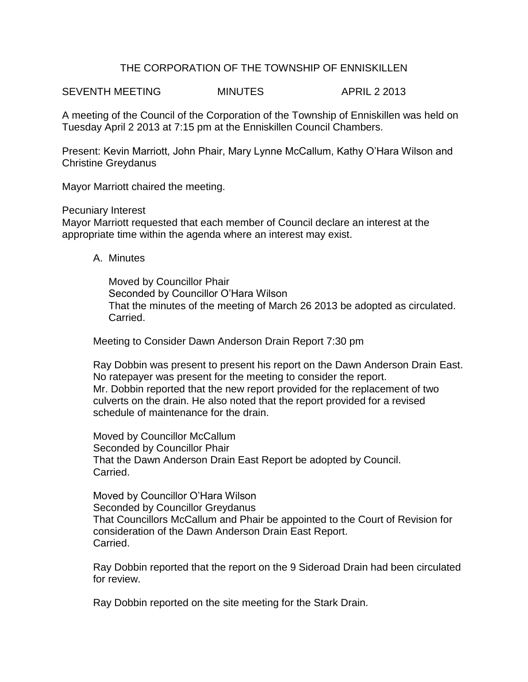# THE CORPORATION OF THE TOWNSHIP OF ENNISKILLEN

SEVENTH MEETING MINUTES APRIL 2 2013

A meeting of the Council of the Corporation of the Township of Enniskillen was held on Tuesday April 2 2013 at 7:15 pm at the Enniskillen Council Chambers.

Present: Kevin Marriott, John Phair, Mary Lynne McCallum, Kathy O'Hara Wilson and Christine Greydanus

Mayor Marriott chaired the meeting.

Pecuniary Interest Mayor Marriott requested that each member of Council declare an interest at the appropriate time within the agenda where an interest may exist.

A. Minutes

Moved by Councillor Phair Seconded by Councillor O'Hara Wilson That the minutes of the meeting of March 26 2013 be adopted as circulated. Carried.

Meeting to Consider Dawn Anderson Drain Report 7:30 pm

Ray Dobbin was present to present his report on the Dawn Anderson Drain East. No ratepayer was present for the meeting to consider the report. Mr. Dobbin reported that the new report provided for the replacement of two culverts on the drain. He also noted that the report provided for a revised schedule of maintenance for the drain.

Moved by Councillor McCallum Seconded by Councillor Phair That the Dawn Anderson Drain East Report be adopted by Council. Carried.

Moved by Councillor O'Hara Wilson Seconded by Councillor Greydanus That Councillors McCallum and Phair be appointed to the Court of Revision for consideration of the Dawn Anderson Drain East Report. Carried.

Ray Dobbin reported that the report on the 9 Sideroad Drain had been circulated for review.

Ray Dobbin reported on the site meeting for the Stark Drain.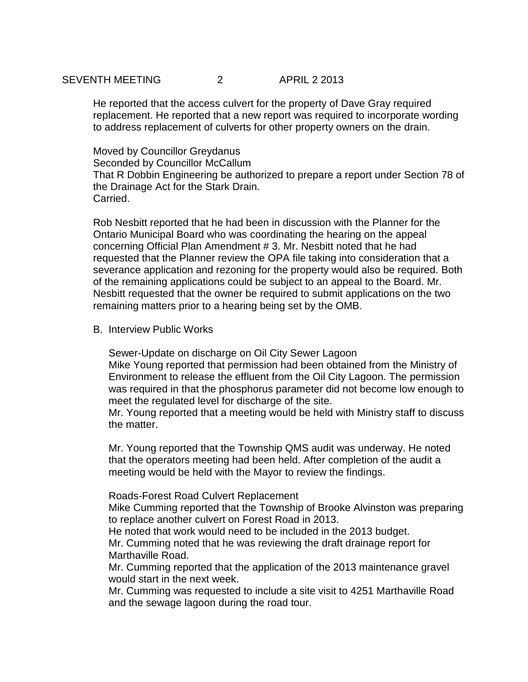# SEVENTH MEETING 2 APRIL 2 2013

He reported that the access culvert for the property of Dave Gray required replacement. He reported that a new report was required to incorporate wording to address replacement of culverts for other property owners on the drain.

Moved by Councillor Greydanus Seconded by Councillor McCallum That R Dobbin Engineering be authorized to prepare a report under Section 78 of the Drainage Act for the Stark Drain. Carried.

Rob Nesbitt reported that he had been in discussion with the Planner for the Ontario Municipal Board who was coordinating the hearing on the appeal concerning Official Plan Amendment # 3. Mr. Nesbitt noted that he had requested that the Planner review the OPA file taking into consideration that a severance application and rezoning for the property would also be required. Both of the remaining applications could be subject to an appeal to the Board. Mr. Nesbitt requested that the owner be required to submit applications on the two remaining matters prior to a hearing being set by the OMB.

### B. Interview Public Works

Sewer-Update on discharge on Oil City Sewer Lagoon Mike Young reported that permission had been obtained from the Ministry of Environment to release the effluent from the Oil City Lagoon. The permission was required in that the phosphorus parameter did not become low enough to meet the regulated level for discharge of the site.

Mr. Young reported that a meeting would be held with Ministry staff to discuss the matter.

Mr. Young reported that the Township QMS audit was underway. He noted that the operators meeting had been held. After completion of the audit a meeting would be held with the Mayor to review the findings.

#### Roads-Forest Road Culvert Replacement

Mike Cumming reported that the Township of Brooke Alvinston was preparing to replace another culvert on Forest Road in 2013.

He noted that work would need to be included in the 2013 budget.

Mr. Cumming noted that he was reviewing the draft drainage report for Marthaville Road.

Mr. Cumming reported that the application of the 2013 maintenance gravel would start in the next week.

Mr. Cumming was requested to include a site visit to 4251 Marthaville Road and the sewage lagoon during the road tour.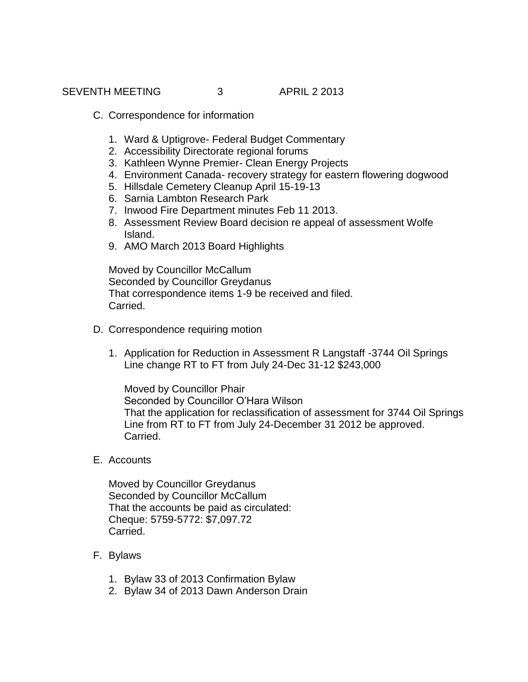- C. Correspondence for information
	- 1. Ward & Uptigrove- Federal Budget Commentary
	- 2. Accessibility Directorate regional forums
	- 3. Kathleen Wynne Premier- Clean Energy Projects
	- 4. Environment Canada- recovery strategy for eastern flowering dogwood
	- 5. Hillsdale Cemetery Cleanup April 15-19-13
	- 6. Sarnia Lambton Research Park
	- 7. Inwood Fire Department minutes Feb 11 2013.
	- 8. Assessment Review Board decision re appeal of assessment Wolfe Island.
	- 9. AMO March 2013 Board Highlights

Moved by Councillor McCallum Seconded by Councillor Greydanus That correspondence items 1-9 be received and filed. Carried.

- D. Correspondence requiring motion
	- 1. Application for Reduction in Assessment R Langstaff -3744 Oil Springs Line change RT to FT from July 24-Dec 31-12 \$243,000

Moved by Councillor Phair Seconded by Councillor O'Hara Wilson That the application for reclassification of assessment for 3744 Oil Springs Line from RT to FT from July 24-December 31 2012 be approved. Carried.

E. Accounts

Moved by Councillor Greydanus Seconded by Councillor McCallum That the accounts be paid as circulated: Cheque: 5759-5772: \$7,097.72 Carried.

- F. Bylaws
	- 1. Bylaw 33 of 2013 Confirmation Bylaw
	- 2. Bylaw 34 of 2013 Dawn Anderson Drain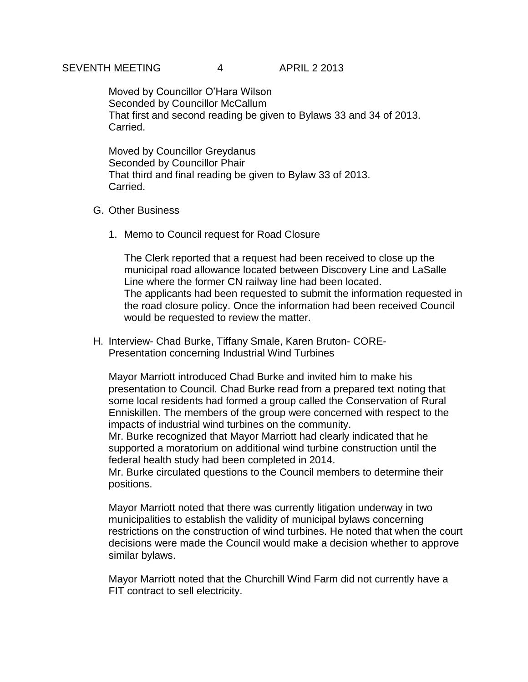## SEVENTH MEETING 4 APRIL 2 2013

Moved by Councillor O'Hara Wilson Seconded by Councillor McCallum That first and second reading be given to Bylaws 33 and 34 of 2013. Carried.

Moved by Councillor Greydanus Seconded by Councillor Phair That third and final reading be given to Bylaw 33 of 2013. Carried.

### G. Other Business

1. Memo to Council request for Road Closure

The Clerk reported that a request had been received to close up the municipal road allowance located between Discovery Line and LaSalle Line where the former CN railway line had been located. The applicants had been requested to submit the information requested in the road closure policy. Once the information had been received Council would be requested to review the matter.

H. Interview- Chad Burke, Tiffany Smale, Karen Bruton- CORE-Presentation concerning Industrial Wind Turbines

Mayor Marriott introduced Chad Burke and invited him to make his presentation to Council. Chad Burke read from a prepared text noting that some local residents had formed a group called the Conservation of Rural Enniskillen. The members of the group were concerned with respect to the impacts of industrial wind turbines on the community.

Mr. Burke recognized that Mayor Marriott had clearly indicated that he supported a moratorium on additional wind turbine construction until the federal health study had been completed in 2014.

Mr. Burke circulated questions to the Council members to determine their positions.

Mayor Marriott noted that there was currently litigation underway in two municipalities to establish the validity of municipal bylaws concerning restrictions on the construction of wind turbines. He noted that when the court decisions were made the Council would make a decision whether to approve similar bylaws.

Mayor Marriott noted that the Churchill Wind Farm did not currently have a FIT contract to sell electricity.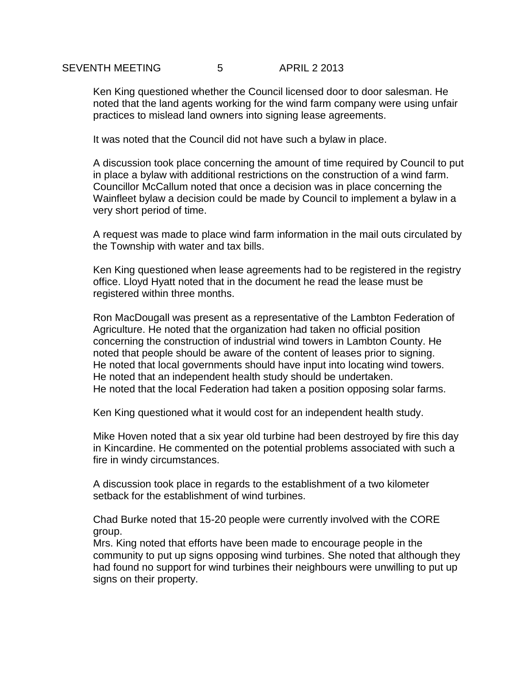## SEVENTH MEETING 5 6 APRIL 2 2013

Ken King questioned whether the Council licensed door to door salesman. He noted that the land agents working for the wind farm company were using unfair practices to mislead land owners into signing lease agreements.

It was noted that the Council did not have such a bylaw in place.

A discussion took place concerning the amount of time required by Council to put in place a bylaw with additional restrictions on the construction of a wind farm. Councillor McCallum noted that once a decision was in place concerning the Wainfleet bylaw a decision could be made by Council to implement a bylaw in a very short period of time.

A request was made to place wind farm information in the mail outs circulated by the Township with water and tax bills.

Ken King questioned when lease agreements had to be registered in the registry office. Lloyd Hyatt noted that in the document he read the lease must be registered within three months.

Ron MacDougall was present as a representative of the Lambton Federation of Agriculture. He noted that the organization had taken no official position concerning the construction of industrial wind towers in Lambton County. He noted that people should be aware of the content of leases prior to signing. He noted that local governments should have input into locating wind towers. He noted that an independent health study should be undertaken. He noted that the local Federation had taken a position opposing solar farms.

Ken King questioned what it would cost for an independent health study.

Mike Hoven noted that a six year old turbine had been destroyed by fire this day in Kincardine. He commented on the potential problems associated with such a fire in windy circumstances.

A discussion took place in regards to the establishment of a two kilometer setback for the establishment of wind turbines.

Chad Burke noted that 15-20 people were currently involved with the CORE group.

Mrs. King noted that efforts have been made to encourage people in the community to put up signs opposing wind turbines. She noted that although they had found no support for wind turbines their neighbours were unwilling to put up signs on their property.